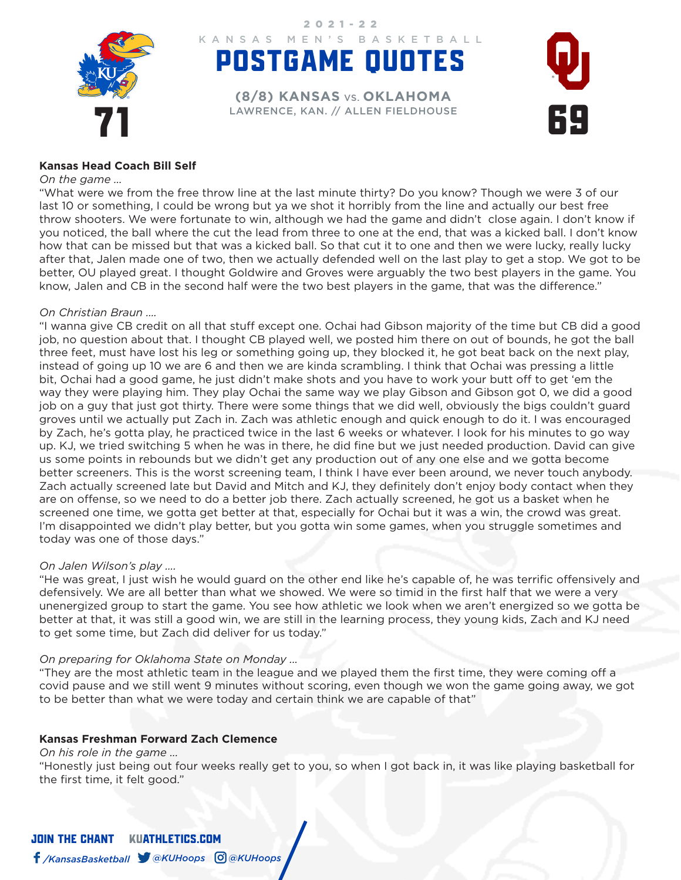

POSTGAME QUOTES KANSAS MEN'S BASKETBALL 2021-22

EXPERIENCE, KAN. // ALLEN FIELDHOUSE **(8/8) KANSAS** VS. **OKLAHOMA**



#### **Kansas Head Coach Bill Self**

#### *On the game …*

"What were we from the free throw line at the last minute thirty? Do you know? Though we were 3 of our last 10 or something, I could be wrong but ya we shot it horribly from the line and actually our best free throw shooters. We were fortunate to win, although we had the game and didn't close again. I don't know if you noticed, the ball where the cut the lead from three to one at the end, that was a kicked ball. I don't know how that can be missed but that was a kicked ball. So that cut it to one and then we were lucky, really lucky after that, Jalen made one of two, then we actually defended well on the last play to get a stop. We got to be better, OU played great. I thought Goldwire and Groves were arguably the two best players in the game. You know, Jalen and CB in the second half were the two best players in the game, that was the difference."

#### *On Christian Braun ….*

"I wanna give CB credit on all that stuff except one. Ochai had Gibson majority of the time but CB did a good job, no question about that. I thought CB played well, we posted him there on out of bounds, he got the ball three feet, must have lost his leg or something going up, they blocked it, he got beat back on the next play, instead of going up 10 we are 6 and then we are kinda scrambling. I think that Ochai was pressing a little bit, Ochai had a good game, he just didn't make shots and you have to work your butt off to get 'em the way they were playing him. They play Ochai the same way we play Gibson and Gibson got 0, we did a good job on a guy that just got thirty. There were some things that we did well, obviously the bigs couldn't guard groves until we actually put Zach in. Zach was athletic enough and quick enough to do it. I was encouraged by Zach, he's gotta play, he practiced twice in the last 6 weeks or whatever. I look for his minutes to go way up. KJ, we tried switching 5 when he was in there, he did fine but we just needed production. David can give us some points in rebounds but we didn't get any production out of any one else and we gotta become better screeners. This is the worst screening team, I think I have ever been around, we never touch anybody. Zach actually screened late but David and Mitch and KJ, they definitely don't enjoy body contact when they are on offense, so we need to do a better job there. Zach actually screened, he got us a basket when he screened one time, we gotta get better at that, especially for Ochai but it was a win, the crowd was great. I'm disappointed we didn't play better, but you gotta win some games, when you struggle sometimes and today was one of those days."

#### *On Jalen Wilson's play ….*

"He was great, I just wish he would guard on the other end like he's capable of, he was terrific offensively and defensively. We are all better than what we showed. We were so timid in the first half that we were a very unenergized group to start the game. You see how athletic we look when we aren't energized so we gotta be better at that, it was still a good win, we are still in the learning process, they young kids, Zach and KJ need to get some time, but Zach did deliver for us today."

#### *On preparing for Oklahoma State on Monday ...*

"They are the most athletic team in the league and we played them the first time, they were coming off a covid pause and we still went 9 minutes without scoring, even though we won the game going away, we got to be better than what we were today and certain think we are capable of that"

#### **Kansas Freshman Forward Zach Clemence**

*On his role in the game ...* 

"Honestly just being out four weeks really get to you, so when I got back in, it was like playing basketball for the first time, it felt good."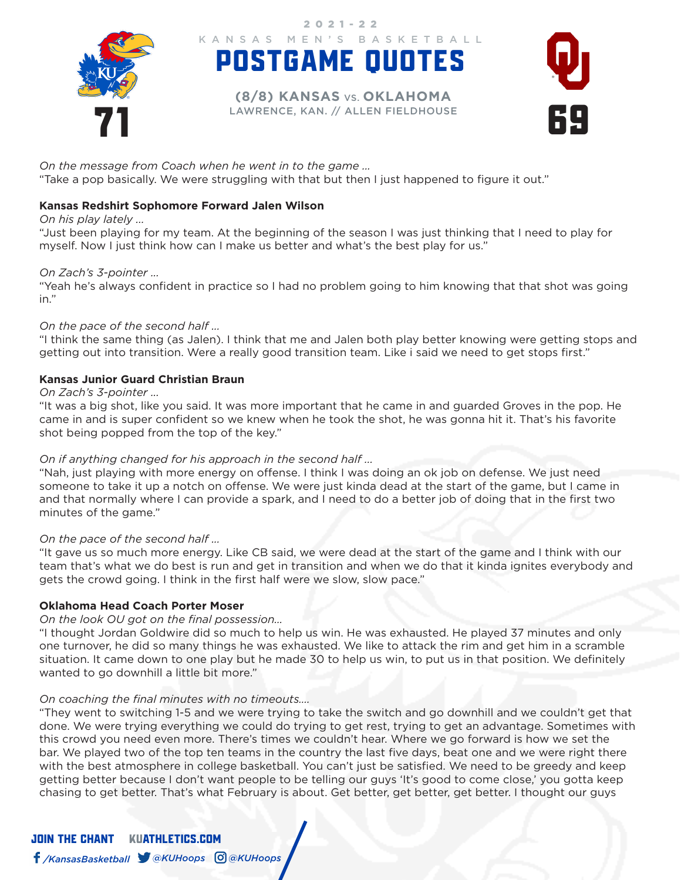

POSTGAME QUOTES KANSAS MEN'S BASKETBALL

2021-22

EXPERIENCE, KAN. // ALLEN FIELDHOUSE **(8/8) KANSAS** VS. **OKLAHOMA**



*On the message from Coach when he went in to the game ...* 

"Take a pop basically. We were struggling with that but then I just happened to figure it out."

## **Kansas Redshirt Sophomore Forward Jalen Wilson**

*On his play lately ...* 

"Just been playing for my team. At the beginning of the season I was just thinking that I need to play for myself. Now I just think how can I make us better and what's the best play for us."

## *On Zach's 3-pointer ...*

"Yeah he's always confident in practice so I had no problem going to him knowing that that shot was going in."

# *On the pace of the second half ...*

"I think the same thing (as Jalen). I think that me and Jalen both play better knowing were getting stops and getting out into transition. Were a really good transition team. Like i said we need to get stops first."

# **Kansas Junior Guard Christian Braun**

### *On Zach's 3-pointer ...*

"It was a big shot, like you said. It was more important that he came in and guarded Groves in the pop. He came in and is super confident so we knew when he took the shot, he was gonna hit it. That's his favorite shot being popped from the top of the key."

## *On if anything changed for his approach in the second half ...*

"Nah, just playing with more energy on offense. I think I was doing an ok job on defense. We just need someone to take it up a notch on offense. We were just kinda dead at the start of the game, but I came in and that normally where I can provide a spark, and I need to do a better job of doing that in the first two minutes of the game."

## *On the pace of the second half ...*

"It gave us so much more energy. Like CB said, we were dead at the start of the game and I think with our team that's what we do best is run and get in transition and when we do that it kinda ignites everybody and gets the crowd going. I think in the first half were we slow, slow pace."

## **Oklahoma Head Coach Porter Moser**

## *On the look OU got on the final possession…*

"I thought Jordan Goldwire did so much to help us win. He was exhausted. He played 37 minutes and only one turnover, he did so many things he was exhausted. We like to attack the rim and get him in a scramble situation. It came down to one play but he made 30 to help us win, to put us in that position. We definitely wanted to go downhill a little bit more."

## *On coaching the final minutes with no timeouts….*

"They went to switching 1-5 and we were trying to take the switch and go downhill and we couldn't get that done. We were trying everything we could do trying to get rest, trying to get an advantage. Sometimes with this crowd you need even more. There's times we couldn't hear. Where we go forward is how we set the bar. We played two of the top ten teams in the country the last five days, beat one and we were right there with the best atmosphere in college basketball. You can't just be satisfied. We need to be greedy and keep getting better because I don't want people to be telling our guys 'It's good to come close,' you gotta keep chasing to get better. That's what February is about. Get better, get better, get better. I thought our guys

JOIN THE CHANTKUATHLETICS.COM */KansasBasketball @KUHoops @KUHoops*